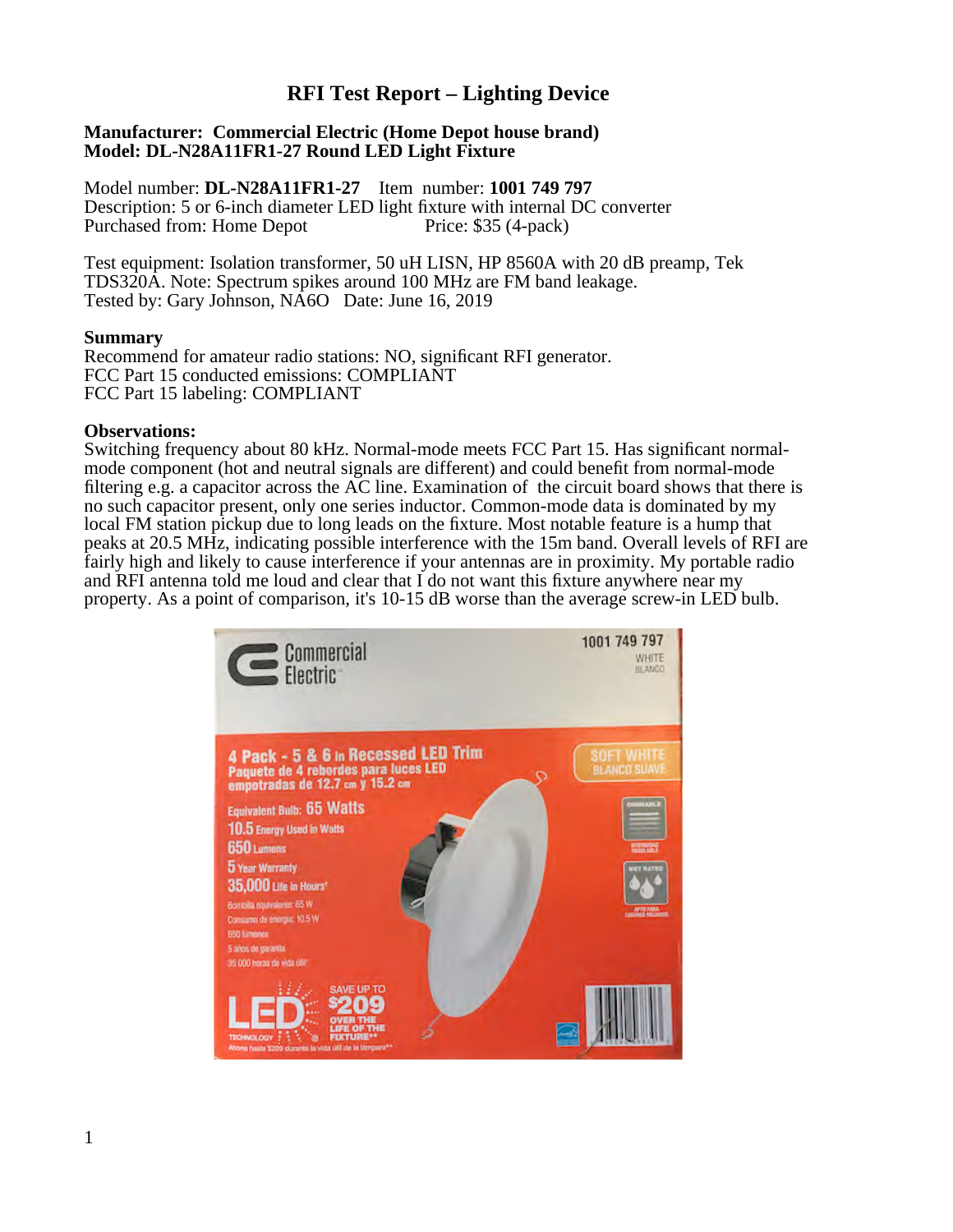# **RFI Test Report – Lighting Device**

### **Manufacturer: Commercial Electric (Home Depot house brand) Model: DL-N28A11FR1-27 Round LED Light Fixture**

Model number: **DL-N28A11FR1-27** Item number: **1001 749 797** Description: 5 or 6-inch diameter LED light fixture with internal DC converter Purchased from: Home Depot Price: \$35 (4-pack)

Test equipment: Isolation transformer, 50 uH LISN, HP 8560A with 20 dB preamp, Tek TDS320A. Note: Spectrum spikes around 100 MHz are FM band leakage. Tested by: Gary Johnson, NA6O Date: June 16, 2019

#### **Summary**

Recommend for amateur radio stations: NO, significant RFI generator. FCC Part 15 conducted emissions: COMPLIANT FCC Part 15 labeling: COMPLIANT

#### **Observations:**

Switching frequency about 80 kHz. Normal-mode meets FCC Part 15. Has significant normalmode component (hot and neutral signals are different) and could benefit from normal-mode filtering e.g. a capacitor across the AC line. Examination of the circuit board shows that there is no such capacitor present, only one series inductor. Common-mode data is dominated by my local FM station pickup due to long leads on the fixture. Most notable feature is a hump that peaks at 20.5 MHz, indicating possible interference with the 15m band. Overall levels of RFI are fairly high and likely to cause interference if your antennas are in proximity. My portable radio and RFI antenna told me loud and clear that I do not want this fixture anywhere near my property. As a point of comparison, it's 10-15 dB worse than the average screw-in LED bulb.

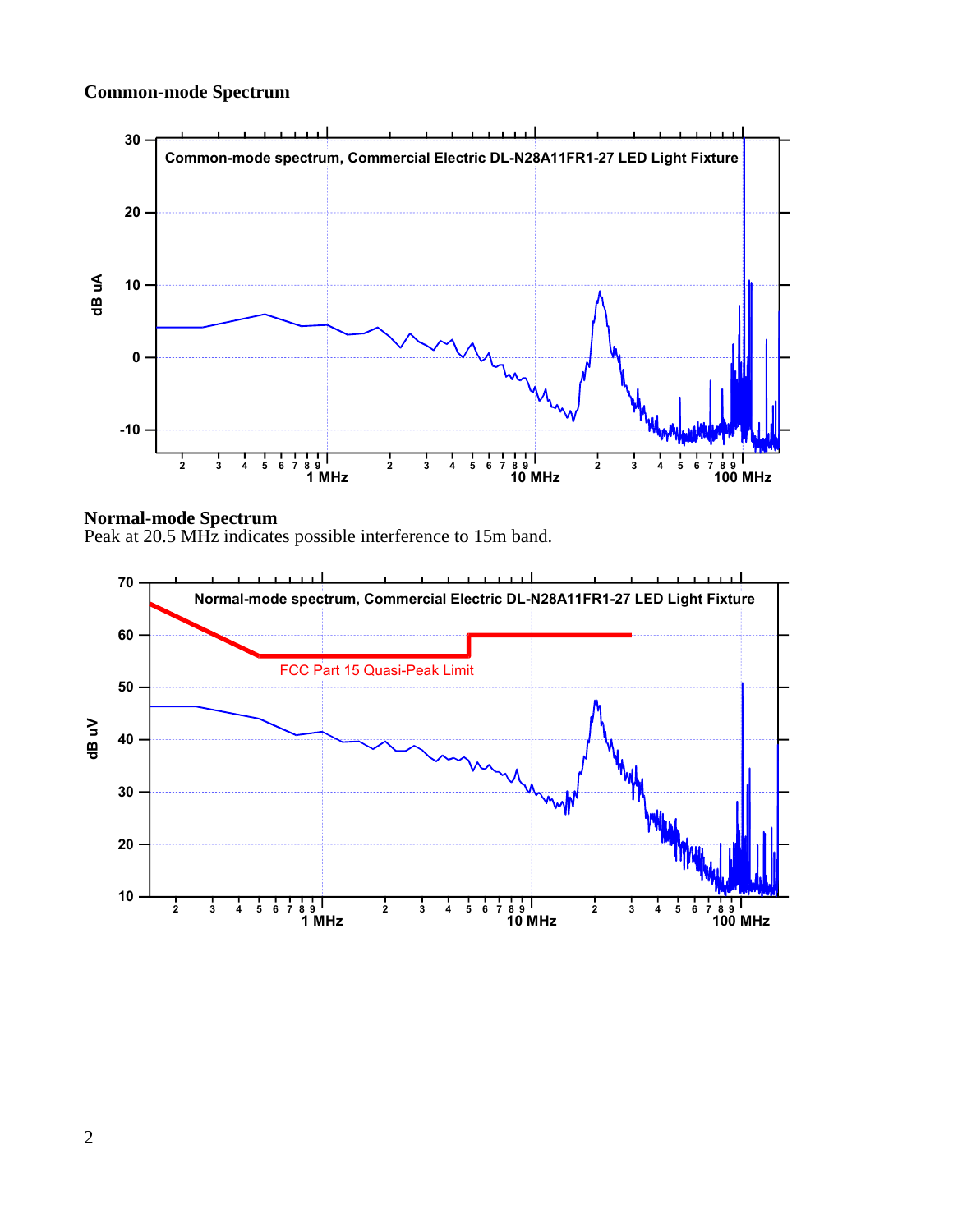## **Common-mode Spectrum**



## **Normal-mode Spectrum**

Peak at 20.5 MHz indicates possible interference to 15m band.